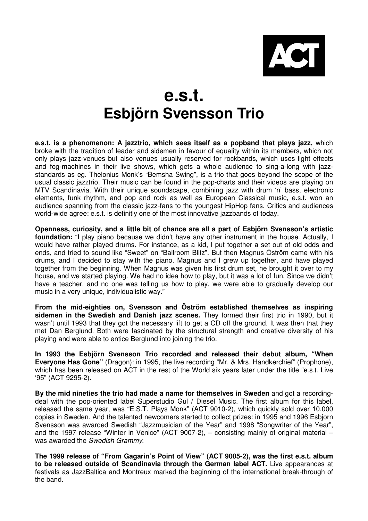

## **e.s.t. Esbjörn Svensson Trio**

**e.s.t. is a phenomenon: A jazztrio, which sees itself as a popband that plays jazz,** which broke with the tradition of leader and sidemen in favour of equality within its members, which not only plays jazz-venues but also venues usually reserved for rockbands, which uses light effects and fog-machines in their live shows, which gets a whole audience to sing-a-long with jazzstandards as eg. Thelonius Monk's "Bemsha Swing", is a trio that goes beyond the scope of the usual classic jazztrio. Their music can be found in the pop-charts and their videos are playing on MTV Scandinavia. With their unique soundscape, combining jazz with drum 'n' bass, electronic elements, funk rhythm, and pop and rock as well as European Classical music, e.s.t. won an audience spanning from the classic jazz-fans to the youngest HipHop fans. Critics and audiences world-wide agree: e.s.t. is definitly one of the most innovative jazzbands of today.

**Openness, curiosity, and a little bit of chance are all a part of Esbjörn Svensson's artistic foundation:** "I play piano because we didn't have any other instrument in the house. Actually, I would have rather played drums. For instance, as a kid, I put together a set out of old odds and ends, and tried to sound like "Sweet" on "Ballroom Blitz". But then Magnus Öström came with his drums, and I decided to stay with the piano. Magnus and I grew up together, and have played together from the beginning. When Magnus was given his first drum set, he brought it over to my house, and we started playing. We had no idea how to play, but it was a lot of fun. Since we didn't have a teacher, and no one was telling us how to play, we were able to gradually develop our music in a very unique, individualistic way."

**From the mid-eighties on, Svensson and Öström established themselves as inspiring sidemen in the Swedish and Danish jazz scenes.** They formed their first trio in 1990, but it wasn't until 1993 that they got the necessary lift to get a CD off the ground. It was then that they met Dan Berglund. Both were fascinated by the structural strength and creative diversity of his playing and were able to entice Berglund into joining the trio.

**In 1993 the Esbjörn Svensson Trio recorded and released their debut album, "When Everyone Has Gone"** (Dragon): in 1995, the live recording "Mr. & Mrs. Handkerchief" (Prophone), which has been released on ACT in the rest of the World six years later under the title "e.s.t. Live '95" (ACT 9295-2).

**By the mid nineties the trio had made a name for themselves in Sweden** and got a recordingdeal with the pop-oriented label Superstudio Gul / Diesel Music. The first album for this label, released the same year, was "E.S.T. Plays Monk" (ACT 9010-2), which quickly sold over 10.000 copies in Sweden. And the talented newcomers started to collect prizes: in 1995 and 1996 Esbjorn Svensson was awarded Swedish "Jazzmusician of the Year" and 1998 "Songwriter of the Year", and the 1997 release "Winter in Venice" (ACT 9007-2), – consisting mainly of original material – was awarded the Swedish Grammy.

**The 1999 release of "From Gagarin's Point of View" (ACT 9005-2), was the first e.s.t. album to be released outside of Scandinavia through the German label ACT.** Live appearances at festivals as JazzBaltica and Montreux marked the beginning of the international break-through of the band.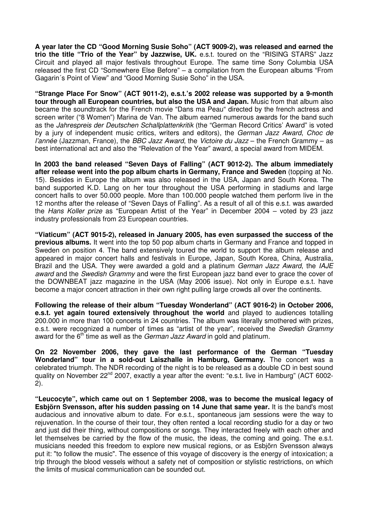**A year later the CD "Good Morning Susie Soho" (ACT 9009-2), was released and earned the trio the title "Trio of the Year" by Jazzwise, UK.** e.s.t. toured on the "RISING STARS" Jazz Circuit and played all major festivals throughout Europe. The same time Sony Columbia USA released the first CD "Somewhere Else Before" – a compilation from the European albums "From Gagarin´s Point of View" and "Good Morning Susie Soho" in the USA.

**"Strange Place For Snow" (ACT 9011-2), e.s.t.'s 2002 release was supported by a 9-month tour through all European countries, but also the USA and Japan.** Music from that album also became the soundtrack for the French movie "Dans ma Peau" directed by the french actress and screen writer ("8 Women") Marina de Van. The album earned numerous awards for the band such as the Jahrespreis der Deutschen Schallplattenkritik (the "German Record Critics' Award" is voted by a jury of independent music critics, writers and editors), the German Jazz Award, Choc de l'année (Jazzman, France), the BBC Jazz Award, the Victoire du Jazz – the French Grammy – as best international act and also the "Relevation of the Year" award, a special award from MIDEM.

**In 2003 the band released "Seven Days of Falling" (ACT 9012-2). The album immediately after release went into the pop album charts in Germany, France and Sweden** (topping at No. 15). Besides in Europe the album was also released in the USA, Japan and South Korea. The band supported K.D. Lang on her tour throughout the USA performing in stadiums and large concert halls to over 50.000 people. More than 100.000 people watched them perform live in the 12 months after the release of "Seven Days of Falling". As a result of all of this e.s.t. was awarded the Hans Koller prize as "European Artist of the Year" in December 2004 – voted by 23 jazz industry professionals from 23 European countries.

**"Viaticum" (ACT 9015-2), released in January 2005, has even surpassed the success of the previous albums.** It went into the top 50 pop album charts in Germany and France and topped in Sweden on position 4. The band extensively toured the world to support the album release and appeared in major concert halls and festivals in Europe, Japan, South Korea, China, Australia, Brazil and the USA. They were awarded a gold and a platinum German Jazz Award, the IAJE award and the Swedish Grammy and were the first European jazz band ever to grace the cover of the DOWNBEAT jazz magazine in the USA (May 2006 issue). Not only in Europe e.s.t. have become a major concert attraction in their own right pulling large crowds all over the continents.

**Following the release of their album "Tuesday Wonderland" (ACT 9016-2) in October 2006, e.s.t. yet again toured extensively throughout the world** and played to audiences totalling 200.000 in more than 100 concerts in 24 countries. The album was literally smothered with prizes, e.s.t. were recognized a number of times as "artist of the year", received the Swedish Grammy award for the  $6<sup>th</sup>$  time as well as the *German Jazz Award* in gold and platinum.

**On 22 November 2006, they gave the last performance of the German "Tuesday Wonderland" tour in a sold-out Laiszhalle in Hamburg, Germany.** The concert was a celebrated triumph. The NDR recording of the night is to be released as a double CD in best sound quality on November 22nd 2007, exactly a year after the event: "e.s.t. live in Hamburg" (ACT 6002- 2).

**"Leucocyte", which came out on 1 September 2008, was to become the musical legacy of Esbjörn Svensson, after his sudden passing on 14 June that same year.** It is the band's most audacious and innovative album to date. For e.s.t., spontaneous jam sessions were the way to rejuvenation. In the course of their tour, they often rented a local recording studio for a day or two and just did their thing, without compositions or songs. They interacted freely with each other and let themselves be carried by the flow of the music, the ideas, the coming and going. The e.s.t. musicians needed this freedom to explore new musical regions, or as Esbjörn Svensson always put it: "to follow the music". The essence of this voyage of discovery is the energy of intoxication; a trip through the blood vessels without a safety net of composition or stylistic restrictions, on which the limits of musical communication can be sounded out.